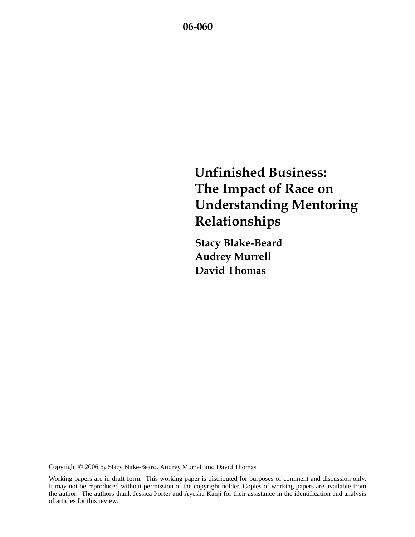# **Unfinished Business: The Impact of Race on Understanding Mentoring Relationships**

**Stacy Blake-Beard Audrey Murrell David Thomas** 

Copyright © 2006 by Stacy Blake-Beard, Audrey Murrell and David Thomas

Working papers are in draft form. This working paper is distributed for purposes of comment and discussion only. It may not be reproduced without permission of the copyright holder. Copies of working papers are available from the author. The authors thank Jessica Porter and Ayesha Kanji for their assistance in the identification and analysis of articles for this review.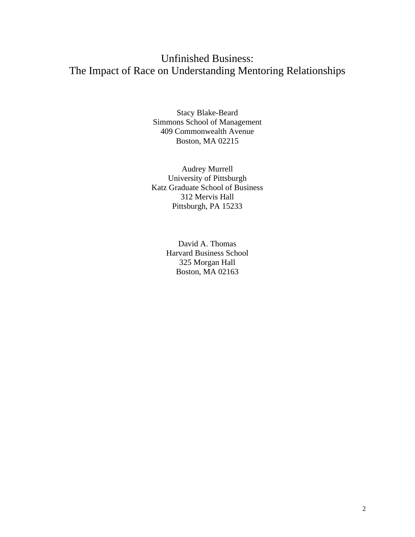# Unfinished Business: The Impact of Race on Understanding Mentoring Relationships

Stacy Blake-Beard Simmons School of Management 409 Commonwealth Avenue Boston, MA 02215

Audrey Murrell University of Pittsburgh Katz Graduate School of Business 312 Mervis Hall Pittsburgh, PA 15233

> David A. Thomas Harvard Business School 325 Morgan Hall Boston, MA 02163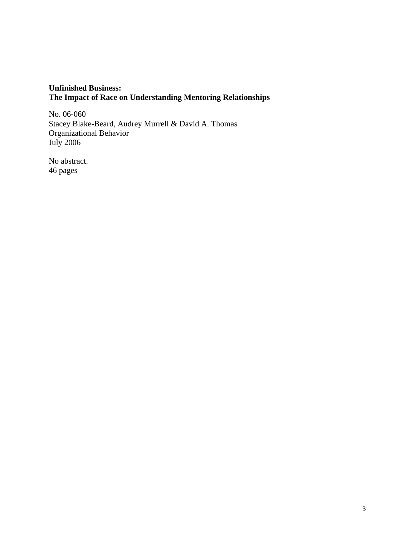### **Unfinished Business: The Impact of Race on Understanding Mentoring Relationships**

No. 06-060 Stacey Blake-Beard, Audrey Murrell & David A. Thomas Organizational Behavior July 2006

No abstract. 46 pages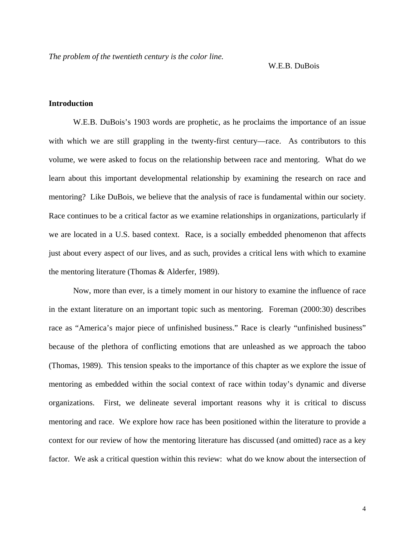W.E.B. DuBois

#### **Introduction**

W.E.B. DuBois's 1903 words are prophetic, as he proclaims the importance of an issue with which we are still grappling in the twenty-first century—race. As contributors to this volume, we were asked to focus on the relationship between race and mentoring. What do we learn about this important developmental relationship by examining the research on race and mentoring? Like DuBois, we believe that the analysis of race is fundamental within our society. Race continues to be a critical factor as we examine relationships in organizations, particularly if we are located in a U.S. based context. Race, is a socially embedded phenomenon that affects just about every aspect of our lives, and as such, provides a critical lens with which to examine the mentoring literature (Thomas & Alderfer, 1989).

Now, more than ever, is a timely moment in our history to examine the influence of race in the extant literature on an important topic such as mentoring. Foreman (2000:30) describes race as "America's major piece of unfinished business." Race is clearly "unfinished business" because of the plethora of conflicting emotions that are unleashed as we approach the taboo (Thomas, 1989). This tension speaks to the importance of this chapter as we explore the issue of mentoring as embedded within the social context of race within today's dynamic and diverse organizations. First, we delineate several important reasons why it is critical to discuss mentoring and race. We explore how race has been positioned within the literature to provide a context for our review of how the mentoring literature has discussed (and omitted) race as a key factor. We ask a critical question within this review: what do we know about the intersection of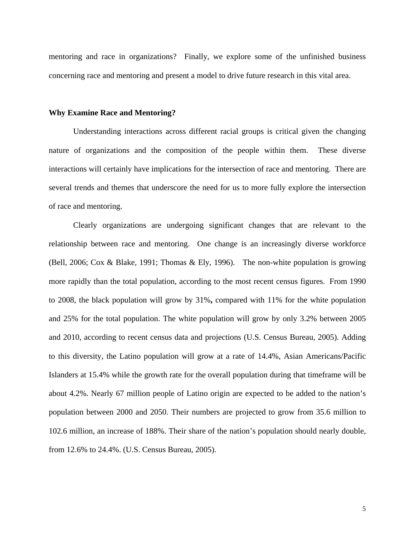mentoring and race in organizations? Finally, we explore some of the unfinished business concerning race and mentoring and present a model to drive future research in this vital area.

#### **Why Examine Race and Mentoring?**

Understanding interactions across different racial groups is critical given the changing nature of organizations and the composition of the people within them. These diverse interactions will certainly have implications for the intersection of race and mentoring. There are several trends and themes that underscore the need for us to more fully explore the intersection of race and mentoring.

 Clearly organizations are undergoing significant changes that are relevant to the relationship between race and mentoring. One change is an increasingly diverse workforce (Bell, 2006; Cox & Blake, 1991; Thomas & Ely, 1996). The non-white population is growing more rapidly than the total population, according to the most recent census figures. From 1990 to 2008, the black population will grow by 31%**,** compared with 11% for the white population and 25% for the total population. The white population will grow by only 3.2% between 2005 and 2010, according to recent census data and projections (U.S. Census Bureau, 2005). Adding to this diversity, the Latino population will grow at a rate of 14.4%, Asian Americans/Pacific Islanders at 15.4% while the growth rate for the overall population during that timeframe will be about 4.2%. Nearly 67 million people of Latino origin are expected to be added to the nation's population between 2000 and 2050. Their numbers are projected to grow from 35.6 million to 102.6 million, an increase of 188%. Their share of the nation's population should nearly double, from 12.6% to 24.4%. (U.S. Census Bureau, 2005).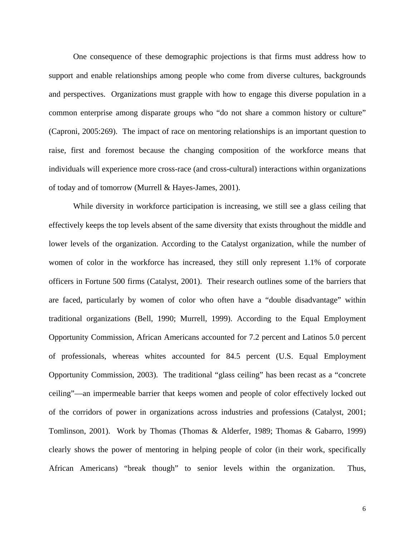One consequence of these demographic projections is that firms must address how to support and enable relationships among people who come from diverse cultures, backgrounds and perspectives. Organizations must grapple with how to engage this diverse population in a common enterprise among disparate groups who "do not share a common history or culture" (Caproni, 2005:269). The impact of race on mentoring relationships is an important question to raise, first and foremost because the changing composition of the workforce means that individuals will experience more cross-race (and cross-cultural) interactions within organizations of today and of tomorrow (Murrell & Hayes-James, 2001).

While diversity in workforce participation is increasing, we still see a glass ceiling that effectively keeps the top levels absent of the same diversity that exists throughout the middle and lower levels of the organization. According to the Catalyst organization, while the number of women of color in the workforce has increased, they still only represent 1.1% of corporate officers in Fortune 500 firms (Catalyst, 2001). Their research outlines some of the barriers that are faced, particularly by women of color who often have a "double disadvantage" within traditional organizations (Bell, 1990; Murrell, 1999). According to the Equal Employment Opportunity Commission, African Americans accounted for 7.2 percent and Latinos 5.0 percent of professionals, whereas whites accounted for 84.5 percent (U.S. Equal Employment Opportunity Commission, 2003). The traditional "glass ceiling" has been recast as a "concrete ceiling"—an impermeable barrier that keeps women and people of color effectively locked out of the corridors of power in organizations across industries and professions (Catalyst, 2001; Tomlinson, 2001). Work by Thomas (Thomas & Alderfer, 1989; Thomas & Gabarro, 1999) clearly shows the power of mentoring in helping people of color (in their work, specifically African Americans) "break though" to senior levels within the organization. Thus,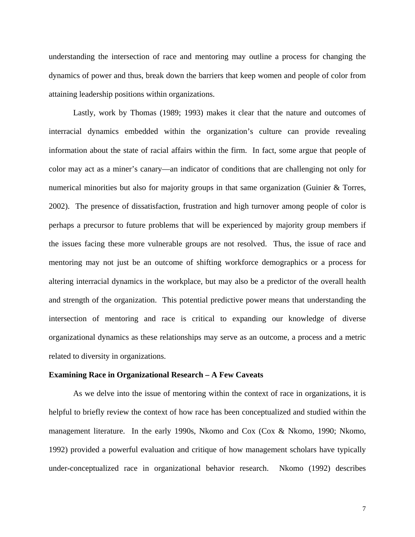understanding the intersection of race and mentoring may outline a process for changing the dynamics of power and thus, break down the barriers that keep women and people of color from attaining leadership positions within organizations.

Lastly, work by Thomas (1989; 1993) makes it clear that the nature and outcomes of interracial dynamics embedded within the organization's culture can provide revealing information about the state of racial affairs within the firm. In fact, some argue that people of color may act as a miner's canary—an indicator of conditions that are challenging not only for numerical minorities but also for majority groups in that same organization (Guinier & Torres, 2002). The presence of dissatisfaction, frustration and high turnover among people of color is perhaps a precursor to future problems that will be experienced by majority group members if the issues facing these more vulnerable groups are not resolved. Thus, the issue of race and mentoring may not just be an outcome of shifting workforce demographics or a process for altering interracial dynamics in the workplace, but may also be a predictor of the overall health and strength of the organization. This potential predictive power means that understanding the intersection of mentoring and race is critical to expanding our knowledge of diverse organizational dynamics as these relationships may serve as an outcome, a process and a metric related to diversity in organizations.

#### **Examining Race in Organizational Research – A Few Caveats**

As we delve into the issue of mentoring within the context of race in organizations, it is helpful to briefly review the context of how race has been conceptualized and studied within the management literature. In the early 1990s, Nkomo and Cox (Cox & Nkomo, 1990; Nkomo, 1992) provided a powerful evaluation and critique of how management scholars have typically under-conceptualized race in organizational behavior research. Nkomo (1992) describes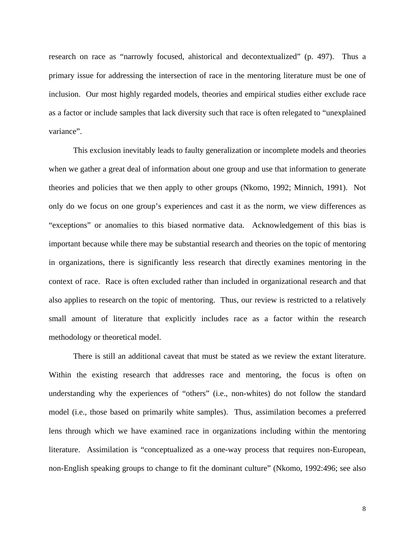research on race as "narrowly focused, ahistorical and decontextualized" (p. 497). Thus a primary issue for addressing the intersection of race in the mentoring literature must be one of inclusion. Our most highly regarded models, theories and empirical studies either exclude race as a factor or include samples that lack diversity such that race is often relegated to "unexplained variance".

 This exclusion inevitably leads to faulty generalization or incomplete models and theories when we gather a great deal of information about one group and use that information to generate theories and policies that we then apply to other groups (Nkomo, 1992; Minnich, 1991). Not only do we focus on one group's experiences and cast it as the norm, we view differences as "exceptions" or anomalies to this biased normative data. Acknowledgement of this bias is important because while there may be substantial research and theories on the topic of mentoring in organizations, there is significantly less research that directly examines mentoring in the context of race. Race is often excluded rather than included in organizational research and that also applies to research on the topic of mentoring. Thus, our review is restricted to a relatively small amount of literature that explicitly includes race as a factor within the research methodology or theoretical model.

 There is still an additional caveat that must be stated as we review the extant literature. Within the existing research that addresses race and mentoring, the focus is often on understanding why the experiences of "others" (i.e., non-whites) do not follow the standard model (i.e., those based on primarily white samples). Thus, assimilation becomes a preferred lens through which we have examined race in organizations including within the mentoring literature. Assimilation is "conceptualized as a one-way process that requires non-European, non-English speaking groups to change to fit the dominant culture" (Nkomo, 1992:496; see also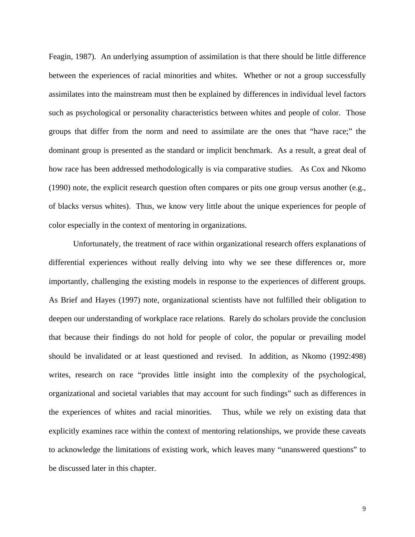Feagin, 1987). An underlying assumption of assimilation is that there should be little difference between the experiences of racial minorities and whites. Whether or not a group successfully assimilates into the mainstream must then be explained by differences in individual level factors such as psychological or personality characteristics between whites and people of color. Those groups that differ from the norm and need to assimilate are the ones that "have race;" the dominant group is presented as the standard or implicit benchmark. As a result, a great deal of how race has been addressed methodologically is via comparative studies. As Cox and Nkomo (1990) note, the explicit research question often compares or pits one group versus another (e.g., of blacks versus whites). Thus, we know very little about the unique experiences for people of color especially in the context of mentoring in organizations.

 Unfortunately, the treatment of race within organizational research offers explanations of differential experiences without really delving into why we see these differences or, more importantly, challenging the existing models in response to the experiences of different groups. As Brief and Hayes (1997) note, organizational scientists have not fulfilled their obligation to deepen our understanding of workplace race relations. Rarely do scholars provide the conclusion that because their findings do not hold for people of color, the popular or prevailing model should be invalidated or at least questioned and revised. In addition, as Nkomo (1992:498) writes, research on race "provides little insight into the complexity of the psychological, organizational and societal variables that may account for such findings" such as differences in the experiences of whites and racial minorities. Thus, while we rely on existing data that explicitly examines race within the context of mentoring relationships, we provide these caveats to acknowledge the limitations of existing work, which leaves many "unanswered questions" to be discussed later in this chapter.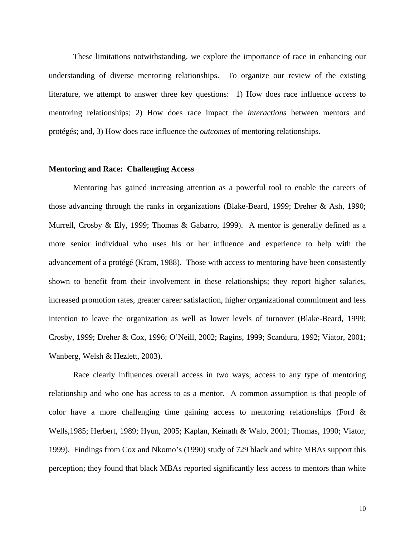These limitations notwithstanding, we explore the importance of race in enhancing our understanding of diverse mentoring relationships. To organize our review of the existing literature, we attempt to answer three key questions: 1) How does race influence *access* to mentoring relationships; 2) How does race impact the *interactions* between mentors and protégés; and, 3) How does race influence the *outcomes* of mentoring relationships.

#### **Mentoring and Race: Challenging Access**

Mentoring has gained increasing attention as a powerful tool to enable the careers of those advancing through the ranks in organizations (Blake-Beard, 1999; Dreher & Ash, 1990; Murrell, Crosby & Ely, 1999; Thomas & Gabarro, 1999). A mentor is generally defined as a more senior individual who uses his or her influence and experience to help with the advancement of a protégé (Kram, 1988). Those with access to mentoring have been consistently shown to benefit from their involvement in these relationships; they report higher salaries, increased promotion rates, greater career satisfaction, higher organizational commitment and less intention to leave the organization as well as lower levels of turnover (Blake-Beard, 1999; Crosby, 1999; Dreher & Cox, 1996; O'Neill, 2002; Ragins, 1999; Scandura, 1992; Viator, 2001; Wanberg, Welsh & Hezlett, 2003).

Race clearly influences overall access in two ways; access to any type of mentoring relationship and who one has access to as a mentor. A common assumption is that people of color have a more challenging time gaining access to mentoring relationships (Ford & Wells,1985; Herbert, 1989; Hyun, 2005; Kaplan, Keinath & Walo, 2001; Thomas, 1990; Viator, 1999). Findings from Cox and Nkomo's (1990) study of 729 black and white MBAs support this perception; they found that black MBAs reported significantly less access to mentors than white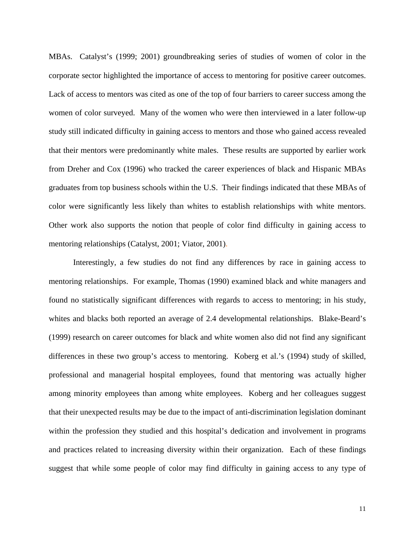MBAs. Catalyst's (1999; 2001) groundbreaking series of studies of women of color in the corporate sector highlighted the importance of access to mentoring for positive career outcomes. Lack of access to mentors was cited as one of the top of four barriers to career success among the women of color surveyed. Many of the women who were then interviewed in a later follow-up study still indicated difficulty in gaining access to mentors and those who gained access revealed that their mentors were predominantly white males. These results are supported by earlier work from Dreher and Cox (1996) who tracked the career experiences of black and Hispanic MBAs graduates from top business schools within the U.S. Their findings indicated that these MBAs of color were significantly less likely than whites to establish relationships with white mentors. Other work also supports the notion that people of color find difficulty in gaining access to mentoring relationships (Catalyst, 2001; Viator, 2001).

Interestingly, a few studies do not find any differences by race in gaining access to mentoring relationships. For example, Thomas (1990) examined black and white managers and found no statistically significant differences with regards to access to mentoring; in his study, whites and blacks both reported an average of 2.4 developmental relationships. Blake-Beard's (1999) research on career outcomes for black and white women also did not find any significant differences in these two group's access to mentoring. Koberg et al.'s (1994) study of skilled, professional and managerial hospital employees, found that mentoring was actually higher among minority employees than among white employees. Koberg and her colleagues suggest that their unexpected results may be due to the impact of anti-discrimination legislation dominant within the profession they studied and this hospital's dedication and involvement in programs and practices related to increasing diversity within their organization. Each of these findings suggest that while some people of color may find difficulty in gaining access to any type of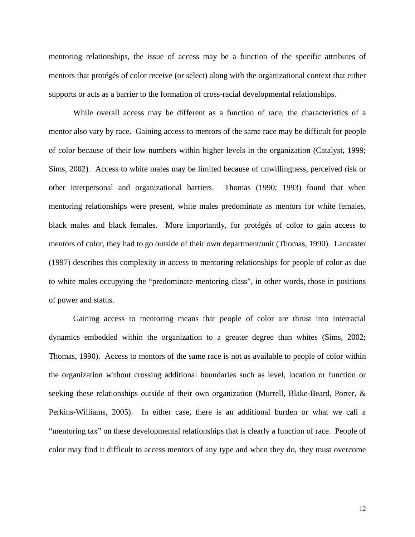mentoring relationships, the issue of access may be a function of the specific attributes of mentors that protégés of color receive (or select) along with the organizational context that either supports or acts as a barrier to the formation of cross-racial developmental relationships.

While overall access may be different as a function of race, the characteristics of a mentor also vary by race. Gaining access to mentors of the same race may be difficult for people of color because of their low numbers within higher levels in the organization (Catalyst, 1999; Sims, 2002). Access to white males may be limited because of unwillingness, perceived risk or other interpersonal and organizational barriers. Thomas (1990; 1993) found that when mentoring relationships were present, white males predominate as mentors for white females, black males and black females. More importantly, for protégés of color to gain access to mentors of color, they had to go outside of their own department/unit (Thomas, 1990). Lancaster (1997) describes this complexity in access to mentoring relationships for people of color as due to white males occupying the "predominate mentoring class", in other words, those in positions of power and status.

Gaining access to mentoring means that people of color are thrust into interracial dynamics embedded within the organization to a greater degree than whites (Sims, 2002; Thomas, 1990). Access to mentors of the same race is not as available to people of color within the organization without crossing additional boundaries such as level, location or function or seeking these relationships outside of their own organization (Murrell, Blake-Beard, Porter, & Perkins-Williams, 2005). In either case, there is an additional burden or what we call a "mentoring tax" on these developmental relationships that is clearly a function of race. People of color may find it difficult to access mentors of any type and when they do, they must overcome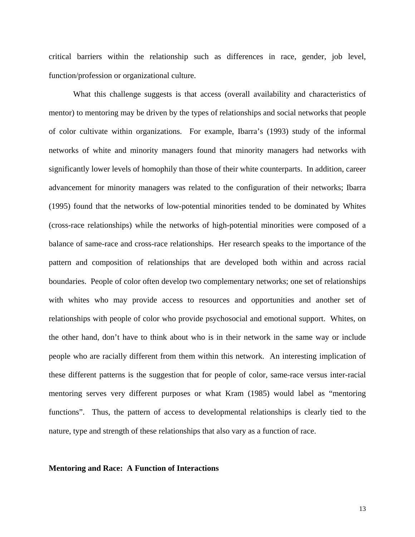critical barriers within the relationship such as differences in race, gender, job level, function/profession or organizational culture.

 What this challenge suggests is that access (overall availability and characteristics of mentor) to mentoring may be driven by the types of relationships and social networks that people of color cultivate within organizations. For example, Ibarra's (1993) study of the informal networks of white and minority managers found that minority managers had networks with significantly lower levels of homophily than those of their white counterparts. In addition, career advancement for minority managers was related to the configuration of their networks; Ibarra (1995) found that the networks of low-potential minorities tended to be dominated by Whites (cross-race relationships) while the networks of high-potential minorities were composed of a balance of same-race and cross-race relationships. Her research speaks to the importance of the pattern and composition of relationships that are developed both within and across racial boundaries. People of color often develop two complementary networks; one set of relationships with whites who may provide access to resources and opportunities and another set of relationships with people of color who provide psychosocial and emotional support. Whites, on the other hand, don't have to think about who is in their network in the same way or include people who are racially different from them within this network. An interesting implication of these different patterns is the suggestion that for people of color, same-race versus inter-racial mentoring serves very different purposes or what Kram (1985) would label as "mentoring functions". Thus, the pattern of access to developmental relationships is clearly tied to the nature, type and strength of these relationships that also vary as a function of race.

#### **Mentoring and Race: A Function of Interactions**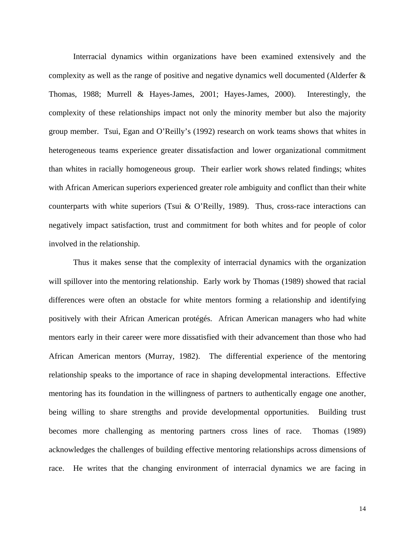Interracial dynamics within organizations have been examined extensively and the complexity as well as the range of positive and negative dynamics well documented (Alderfer & Thomas, 1988; Murrell & Hayes-James, 2001; Hayes-James, 2000). Interestingly, the complexity of these relationships impact not only the minority member but also the majority group member. Tsui, Egan and O'Reilly's (1992) research on work teams shows that whites in heterogeneous teams experience greater dissatisfaction and lower organizational commitment than whites in racially homogeneous group. Their earlier work shows related findings; whites with African American superiors experienced greater role ambiguity and conflict than their white counterparts with white superiors (Tsui & O'Reilly, 1989). Thus, cross-race interactions can negatively impact satisfaction, trust and commitment for both whites and for people of color involved in the relationship.

Thus it makes sense that the complexity of interracial dynamics with the organization will spillover into the mentoring relationship. Early work by Thomas (1989) showed that racial differences were often an obstacle for white mentors forming a relationship and identifying positively with their African American protégés. African American managers who had white mentors early in their career were more dissatisfied with their advancement than those who had African American mentors (Murray, 1982). The differential experience of the mentoring relationship speaks to the importance of race in shaping developmental interactions. Effective mentoring has its foundation in the willingness of partners to authentically engage one another, being willing to share strengths and provide developmental opportunities. Building trust becomes more challenging as mentoring partners cross lines of race. Thomas (1989) acknowledges the challenges of building effective mentoring relationships across dimensions of race. He writes that the changing environment of interracial dynamics we are facing in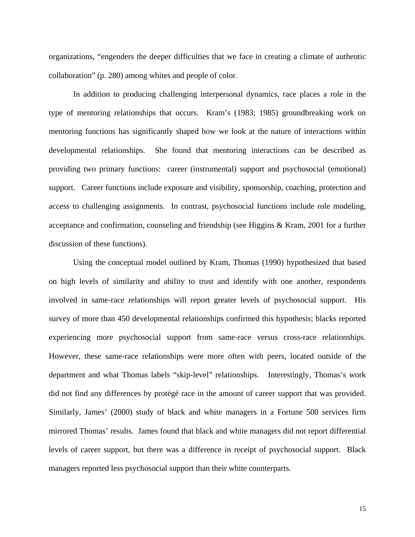organizations, "engenders the deeper difficulties that we face in creating a climate of authentic collaboration" (p. 280) among whites and people of color.

In addition to producing challenging interpersonal dynamics, race places a role in the type of mentoring relationships that occurs. Kram's (1983; 1985) groundbreaking work on mentoring functions has significantly shaped how we look at the nature of interactions within developmental relationships. She found that mentoring interactions can be described as providing two primary functions: career (instrumental) support and psychosocial (emotional) support. Career functions include exposure and visibility, sponsorship, coaching, protection and access to challenging assignments. In contrast, psychosocial functions include role modeling, acceptance and confirmation, counseling and friendship (see Higgins & Kram, 2001 for a further discussion of these functions).

Using the conceptual model outlined by Kram, Thomas (1990) hypothesized that based on high levels of similarity and ability to trust and identify with one another, respondents involved in same-race relationships will report greater levels of psychosocial support. His survey of more than 450 developmental relationships confirmed this hypothesis; blacks reported experiencing more psychosocial support from same-race versus cross-race relationships. However, these same-race relationships were more often with peers, located outside of the department and what Thomas labels "skip-level" relationships. Interestingly, Thomas's work did not find any differences by protégé race in the amount of career support that was provided. Similarly, James' (2000) study of black and white managers in a Fortune 500 services firm mirrored Thomas' results. James found that black and white managers did not report differential levels of career support, but there was a difference in receipt of psychosocial support. Black managers reported less psychosocial support than their white counterparts.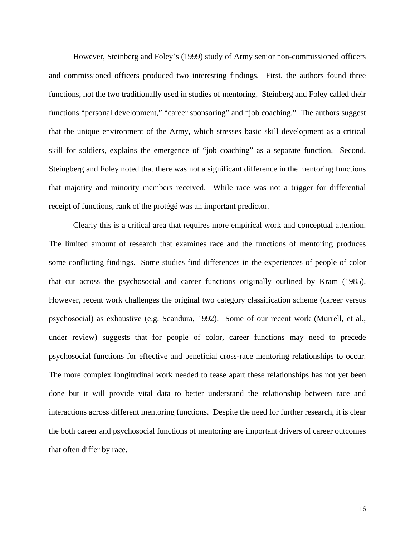However, Steinberg and Foley's (1999) study of Army senior non-commissioned officers and commissioned officers produced two interesting findings. First, the authors found three functions, not the two traditionally used in studies of mentoring. Steinberg and Foley called their functions "personal development," "career sponsoring" and "job coaching." The authors suggest that the unique environment of the Army, which stresses basic skill development as a critical skill for soldiers, explains the emergence of "job coaching" as a separate function. Second, Steingberg and Foley noted that there was not a significant difference in the mentoring functions that majority and minority members received. While race was not a trigger for differential receipt of functions, rank of the protégé was an important predictor.

 Clearly this is a critical area that requires more empirical work and conceptual attention. The limited amount of research that examines race and the functions of mentoring produces some conflicting findings. Some studies find differences in the experiences of people of color that cut across the psychosocial and career functions originally outlined by Kram (1985). However, recent work challenges the original two category classification scheme (career versus psychosocial) as exhaustive (e.g. Scandura, 1992). Some of our recent work (Murrell, et al., under review) suggests that for people of color, career functions may need to precede psychosocial functions for effective and beneficial cross-race mentoring relationships to occur. The more complex longitudinal work needed to tease apart these relationships has not yet been done but it will provide vital data to better understand the relationship between race and interactions across different mentoring functions. Despite the need for further research, it is clear the both career and psychosocial functions of mentoring are important drivers of career outcomes that often differ by race.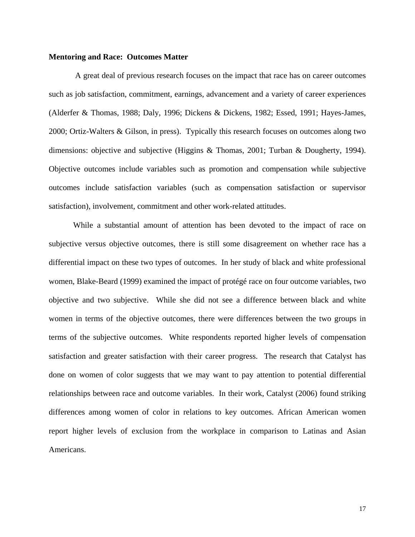#### **Mentoring and Race: Outcomes Matter**

 A great deal of previous research focuses on the impact that race has on career outcomes such as job satisfaction, commitment, earnings, advancement and a variety of career experiences (Alderfer & Thomas, 1988; Daly, 1996; Dickens & Dickens, 1982; Essed, 1991; Hayes-James, 2000; Ortiz-Walters & Gilson, in press). Typically this research focuses on outcomes along two dimensions: objective and subjective (Higgins & Thomas, 2001; Turban & Dougherty, 1994). Objective outcomes include variables such as promotion and compensation while subjective outcomes include satisfaction variables (such as compensation satisfaction or supervisor satisfaction), involvement, commitment and other work-related attitudes.

 While a substantial amount of attention has been devoted to the impact of race on subjective versus objective outcomes, there is still some disagreement on whether race has a differential impact on these two types of outcomes. In her study of black and white professional women, Blake-Beard (1999) examined the impact of protégé race on four outcome variables, two objective and two subjective. While she did not see a difference between black and white women in terms of the objective outcomes, there were differences between the two groups in terms of the subjective outcomes. White respondents reported higher levels of compensation satisfaction and greater satisfaction with their career progress. The research that Catalyst has done on women of color suggests that we may want to pay attention to potential differential relationships between race and outcome variables. In their work, Catalyst (2006) found striking differences among women of color in relations to key outcomes. African American women report higher levels of exclusion from the workplace in comparison to Latinas and Asian Americans.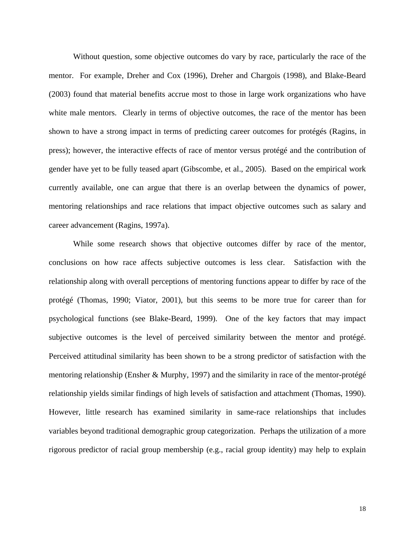Without question, some objective outcomes do vary by race, particularly the race of the mentor. For example, Dreher and Cox (1996), Dreher and Chargois (1998), and Blake-Beard (2003) found that material benefits accrue most to those in large work organizations who have white male mentors. Clearly in terms of objective outcomes, the race of the mentor has been shown to have a strong impact in terms of predicting career outcomes for protégés (Ragins, in press); however, the interactive effects of race of mentor versus protégé and the contribution of gender have yet to be fully teased apart (Gibscombe, et al., 2005). Based on the empirical work currently available, one can argue that there is an overlap between the dynamics of power, mentoring relationships and race relations that impact objective outcomes such as salary and career advancement (Ragins, 1997a).

 While some research shows that objective outcomes differ by race of the mentor, conclusions on how race affects subjective outcomes is less clear. Satisfaction with the relationship along with overall perceptions of mentoring functions appear to differ by race of the protégé (Thomas, 1990; Viator, 2001), but this seems to be more true for career than for psychological functions (see Blake-Beard, 1999). One of the key factors that may impact subjective outcomes is the level of perceived similarity between the mentor and protégé. Perceived attitudinal similarity has been shown to be a strong predictor of satisfaction with the mentoring relationship (Ensher & Murphy, 1997) and the similarity in race of the mentor-protégé relationship yields similar findings of high levels of satisfaction and attachment (Thomas, 1990). However, little research has examined similarity in same-race relationships that includes variables beyond traditional demographic group categorization. Perhaps the utilization of a more rigorous predictor of racial group membership (e.g., racial group identity) may help to explain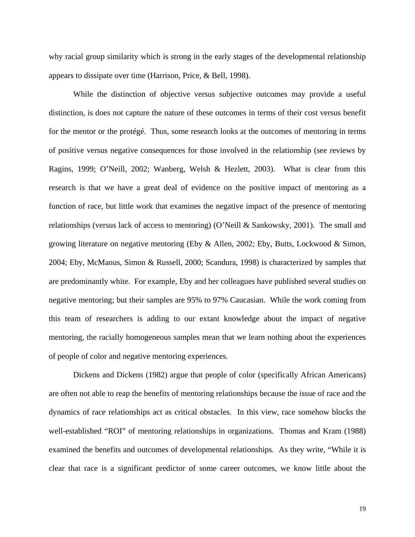why racial group similarity which is strong in the early stages of the developmental relationship appears to dissipate over time (Harrison, Price, & Bell, 1998).

 While the distinction of objective versus subjective outcomes may provide a useful distinction, is does not capture the nature of these outcomes in terms of their cost versus benefit for the mentor or the protégé. Thus, some research looks at the outcomes of mentoring in terms of positive versus negative consequences for those involved in the relationship (see reviews by Ragins, 1999; O'Neill, 2002; Wanberg, Welsh & Hezlett, 2003). What is clear from this research is that we have a great deal of evidence on the positive impact of mentoring as a function of race, but little work that examines the negative impact of the presence of mentoring relationships (versus lack of access to mentoring) (O'Neill & Sankowsky, 2001). The small and growing literature on negative mentoring (Eby & Allen, 2002; Eby, Butts, Lockwood & Simon, 2004; Eby, McManus, Simon & Russell, 2000; Scandura, 1998) is characterized by samples that are predominantly white. For example, Eby and her colleagues have published several studies on negative mentoring; but their samples are 95% to 97% Caucasian. While the work coming from this team of researchers is adding to our extant knowledge about the impact of negative mentoring, the racially homogeneous samples mean that we learn nothing about the experiences of people of color and negative mentoring experiences.

 Dickens and Dickens (1982) argue that people of color (specifically African Americans) are often not able to reap the benefits of mentoring relationships because the issue of race and the dynamics of race relationships act as critical obstacles. In this view, race somehow blocks the well-established "ROI" of mentoring relationships in organizations. Thomas and Kram (1988) examined the benefits and outcomes of developmental relationships. As they write, "While it is clear that race is a significant predictor of some career outcomes, we know little about the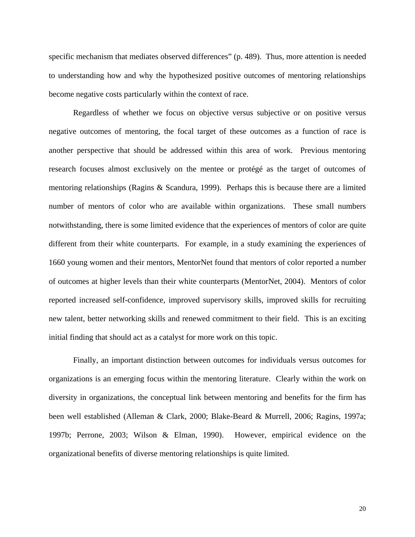specific mechanism that mediates observed differences" (p. 489). Thus, more attention is needed to understanding how and why the hypothesized positive outcomes of mentoring relationships become negative costs particularly within the context of race.

 Regardless of whether we focus on objective versus subjective or on positive versus negative outcomes of mentoring, the focal target of these outcomes as a function of race is another perspective that should be addressed within this area of work. Previous mentoring research focuses almost exclusively on the mentee or protégé as the target of outcomes of mentoring relationships (Ragins & Scandura, 1999). Perhaps this is because there are a limited number of mentors of color who are available within organizations. These small numbers notwithstanding, there is some limited evidence that the experiences of mentors of color are quite different from their white counterparts. For example, in a study examining the experiences of 1660 young women and their mentors, MentorNet found that mentors of color reported a number of outcomes at higher levels than their white counterparts (MentorNet, 2004). Mentors of color reported increased self-confidence, improved supervisory skills, improved skills for recruiting new talent, better networking skills and renewed commitment to their field. This is an exciting initial finding that should act as a catalyst for more work on this topic.

 Finally, an important distinction between outcomes for individuals versus outcomes for organizations is an emerging focus within the mentoring literature. Clearly within the work on diversity in organizations, the conceptual link between mentoring and benefits for the firm has been well established (Alleman & Clark, 2000; Blake-Beard & Murrell, 2006; Ragins, 1997a; 1997b; Perrone, 2003; Wilson & Elman, 1990). However, empirical evidence on the organizational benefits of diverse mentoring relationships is quite limited.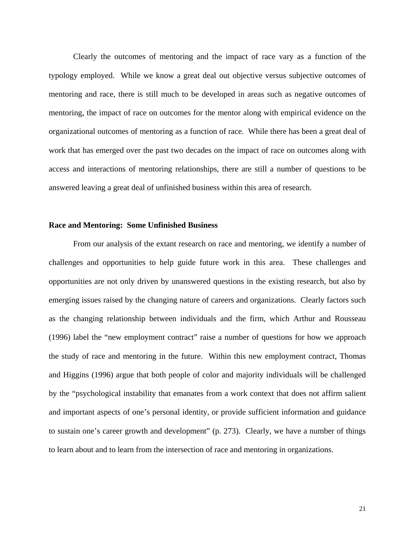Clearly the outcomes of mentoring and the impact of race vary as a function of the typology employed. While we know a great deal out objective versus subjective outcomes of mentoring and race, there is still much to be developed in areas such as negative outcomes of mentoring, the impact of race on outcomes for the mentor along with empirical evidence on the organizational outcomes of mentoring as a function of race. While there has been a great deal of work that has emerged over the past two decades on the impact of race on outcomes along with access and interactions of mentoring relationships, there are still a number of questions to be answered leaving a great deal of unfinished business within this area of research.

#### **Race and Mentoring: Some Unfinished Business**

 From our analysis of the extant research on race and mentoring, we identify a number of challenges and opportunities to help guide future work in this area. These challenges and opportunities are not only driven by unanswered questions in the existing research, but also by emerging issues raised by the changing nature of careers and organizations. Clearly factors such as the changing relationship between individuals and the firm, which Arthur and Rousseau (1996) label the "new employment contract" raise a number of questions for how we approach the study of race and mentoring in the future. Within this new employment contract, Thomas and Higgins (1996) argue that both people of color and majority individuals will be challenged by the "psychological instability that emanates from a work context that does not affirm salient and important aspects of one's personal identity, or provide sufficient information and guidance to sustain one's career growth and development" (p. 273). Clearly, we have a number of things to learn about and to learn from the intersection of race and mentoring in organizations.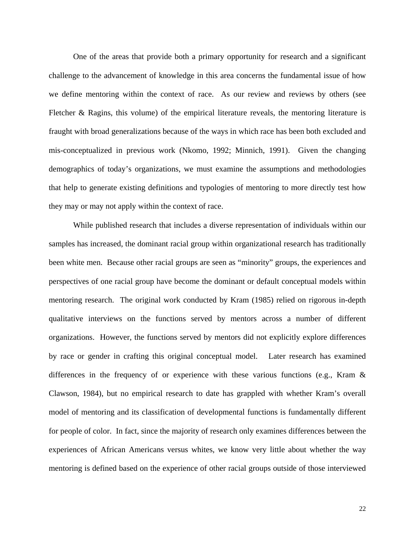One of the areas that provide both a primary opportunity for research and a significant challenge to the advancement of knowledge in this area concerns the fundamental issue of how we define mentoring within the context of race. As our review and reviews by others (see Fletcher & Ragins, this volume) of the empirical literature reveals, the mentoring literature is fraught with broad generalizations because of the ways in which race has been both excluded and mis-conceptualized in previous work (Nkomo, 1992; Minnich, 1991). Given the changing demographics of today's organizations, we must examine the assumptions and methodologies that help to generate existing definitions and typologies of mentoring to more directly test how they may or may not apply within the context of race.

While published research that includes a diverse representation of individuals within our samples has increased, the dominant racial group within organizational research has traditionally been white men. Because other racial groups are seen as "minority" groups, the experiences and perspectives of one racial group have become the dominant or default conceptual models within mentoring research. The original work conducted by Kram (1985) relied on rigorous in-depth qualitative interviews on the functions served by mentors across a number of different organizations. However, the functions served by mentors did not explicitly explore differences by race or gender in crafting this original conceptual model. Later research has examined differences in the frequency of or experience with these various functions (e.g., Kram & Clawson, 1984), but no empirical research to date has grappled with whether Kram's overall model of mentoring and its classification of developmental functions is fundamentally different for people of color. In fact, since the majority of research only examines differences between the experiences of African Americans versus whites, we know very little about whether the way mentoring is defined based on the experience of other racial groups outside of those interviewed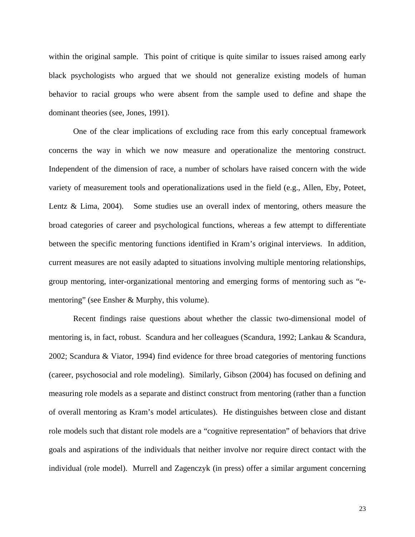within the original sample. This point of critique is quite similar to issues raised among early black psychologists who argued that we should not generalize existing models of human behavior to racial groups who were absent from the sample used to define and shape the dominant theories (see, Jones, 1991).

One of the clear implications of excluding race from this early conceptual framework concerns the way in which we now measure and operationalize the mentoring construct. Independent of the dimension of race, a number of scholars have raised concern with the wide variety of measurement tools and operationalizations used in the field (e.g., Allen, Eby, Poteet, Lentz & Lima, 2004). Some studies use an overall index of mentoring, others measure the broad categories of career and psychological functions, whereas a few attempt to differentiate between the specific mentoring functions identified in Kram's original interviews. In addition, current measures are not easily adapted to situations involving multiple mentoring relationships, group mentoring, inter-organizational mentoring and emerging forms of mentoring such as "ementoring" (see Ensher & Murphy, this volume).

Recent findings raise questions about whether the classic two-dimensional model of mentoring is, in fact, robust. Scandura and her colleagues (Scandura, 1992; Lankau & Scandura, 2002; Scandura & Viator, 1994) find evidence for three broad categories of mentoring functions (career, psychosocial and role modeling). Similarly, Gibson (2004) has focused on defining and measuring role models as a separate and distinct construct from mentoring (rather than a function of overall mentoring as Kram's model articulates). He distinguishes between close and distant role models such that distant role models are a "cognitive representation" of behaviors that drive goals and aspirations of the individuals that neither involve nor require direct contact with the individual (role model). Murrell and Zagenczyk (in press) offer a similar argument concerning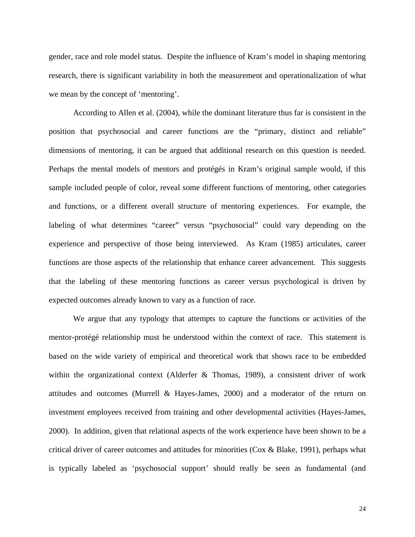gender, race and role model status. Despite the influence of Kram's model in shaping mentoring research, there is significant variability in both the measurement and operationalization of what we mean by the concept of 'mentoring'.

According to Allen et al. (2004), while the dominant literature thus far is consistent in the position that psychosocial and career functions are the "primary, distinct and reliable" dimensions of mentoring, it can be argued that additional research on this question is needed. Perhaps the mental models of mentors and protégés in Kram's original sample would, if this sample included people of color, reveal some different functions of mentoring, other categories and functions, or a different overall structure of mentoring experiences. For example, the labeling of what determines "career" versus "psychosocial" could vary depending on the experience and perspective of those being interviewed. As Kram (1985) articulates, career functions are those aspects of the relationship that enhance career advancement. This suggests that the labeling of these mentoring functions as career versus psychological is driven by expected outcomes already known to vary as a function of race.

We argue that any typology that attempts to capture the functions or activities of the mentor-protégé relationship must be understood within the context of race. This statement is based on the wide variety of empirical and theoretical work that shows race to be embedded within the organizational context (Alderfer & Thomas, 1989), a consistent driver of work attitudes and outcomes (Murrell & Hayes-James, 2000) and a moderator of the return on investment employees received from training and other developmental activities (Hayes-James, 2000). In addition, given that relational aspects of the work experience have been shown to be a critical driver of career outcomes and attitudes for minorities (Cox & Blake, 1991), perhaps what is typically labeled as 'psychosocial support' should really be seen as fundamental (and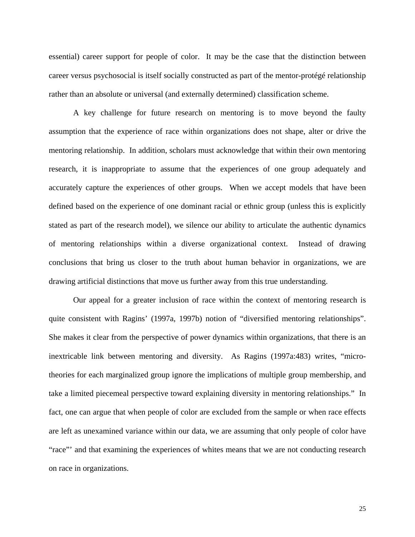essential) career support for people of color. It may be the case that the distinction between career versus psychosocial is itself socially constructed as part of the mentor-protégé relationship rather than an absolute or universal (and externally determined) classification scheme.

A key challenge for future research on mentoring is to move beyond the faulty assumption that the experience of race within organizations does not shape, alter or drive the mentoring relationship. In addition, scholars must acknowledge that within their own mentoring research, it is inappropriate to assume that the experiences of one group adequately and accurately capture the experiences of other groups. When we accept models that have been defined based on the experience of one dominant racial or ethnic group (unless this is explicitly stated as part of the research model), we silence our ability to articulate the authentic dynamics of mentoring relationships within a diverse organizational context. Instead of drawing conclusions that bring us closer to the truth about human behavior in organizations, we are drawing artificial distinctions that move us further away from this true understanding.

Our appeal for a greater inclusion of race within the context of mentoring research is quite consistent with Ragins' (1997a, 1997b) notion of "diversified mentoring relationships". She makes it clear from the perspective of power dynamics within organizations, that there is an inextricable link between mentoring and diversity. As Ragins (1997a:483) writes, "microtheories for each marginalized group ignore the implications of multiple group membership, and take a limited piecemeal perspective toward explaining diversity in mentoring relationships." In fact, one can argue that when people of color are excluded from the sample or when race effects are left as unexamined variance within our data, we are assuming that only people of color have "race"' and that examining the experiences of whites means that we are not conducting research on race in organizations.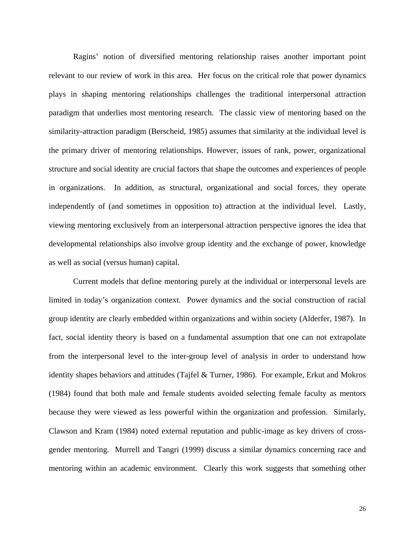Ragins' notion of diversified mentoring relationship raises another important point relevant to our review of work in this area. Her focus on the critical role that power dynamics plays in shaping mentoring relationships challenges the traditional interpersonal attraction paradigm that underlies most mentoring research. The classic view of mentoring based on the similarity-attraction paradigm (Berscheid, 1985) assumes that similarity at the individual level is the primary driver of mentoring relationships. However, issues of rank, power, organizational structure and social identity are crucial factors that shape the outcomes and experiences of people in organizations. In addition, as structural, organizational and social forces, they operate independently of (and sometimes in opposition to) attraction at the individual level. Lastly, viewing mentoring exclusively from an interpersonal attraction perspective ignores the idea that developmental relationships also involve group identity and the exchange of power, knowledge as well as social (versus human) capital.

Current models that define mentoring purely at the individual or interpersonal levels are limited in today's organization context. Power dynamics and the social construction of racial group identity are clearly embedded within organizations and within society (Alderfer, 1987). In fact, social identity theory is based on a fundamental assumption that one can not extrapolate from the interpersonal level to the inter-group level of analysis in order to understand how identity shapes behaviors and attitudes (Tajfel & Turner, 1986). For example, Erkut and Mokros (1984) found that both male and female students avoided selecting female faculty as mentors because they were viewed as less powerful within the organization and profession. Similarly, Clawson and Kram (1984) noted external reputation and public-image as key drivers of crossgender mentoring. Murrell and Tangri (1999) discuss a similar dynamics concerning race and mentoring within an academic environment. Clearly this work suggests that something other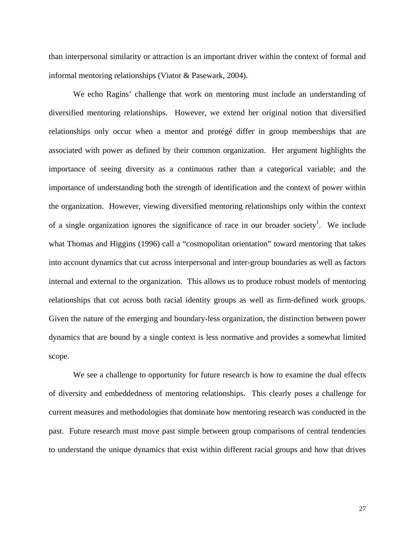than interpersonal similarity or attraction is an important driver within the context of formal and informal mentoring relationships (Viator & Pasewark, 2004).

We echo Ragins' challenge that work on mentoring must include an understanding of diversified mentoring relationships. However, we extend her original notion that diversified relationships only occur when a mentor and protégé differ in group memberships that are associated with power as defined by their common organization. Her argument highlights the importance of seeing diversity as a continuous rather than a categorical variable; and the importance of understanding both the strength of identification and the context of power within the organization. However, viewing diversified mentoring relationships only within the context of a single organization ignores the significance of race in our broader society<sup>1</sup>. We include what Thomas and Higgins (1996) call a "cosmopolitan orientation" toward mentoring that takes into account dynamics that cut across interpersonal and inter-group boundaries as well as factors internal and external to the organization. This allows us to produce robust models of mentoring relationships that cut across both racial identity groups as well as firm-defined work groups. Given the nature of the emerging and boundary-less organization, the distinction between power dynamics that are bound by a single context is less normative and provides a somewhat limited scope.

We see a challenge to opportunity for future research is how to examine the dual effects of diversity and embeddedness of mentoring relationships. This clearly poses a challenge for current measures and methodologies that dominate how mentoring research was conducted in the past. Future research must move past simple between group comparisons of central tendencies to understand the unique dynamics that exist within different racial groups and how that drives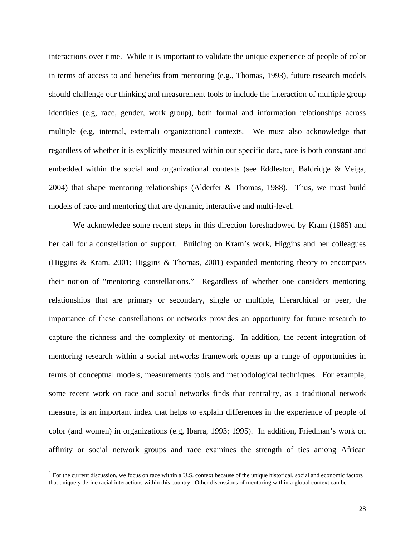interactions over time. While it is important to validate the unique experience of people of color in terms of access to and benefits from mentoring (e.g., Thomas, 1993), future research models should challenge our thinking and measurement tools to include the interaction of multiple group identities (e.g, race, gender, work group), both formal and information relationships across multiple (e.g, internal, external) organizational contexts. We must also acknowledge that regardless of whether it is explicitly measured within our specific data, race is both constant and embedded within the social and organizational contexts (see Eddleston, Baldridge & Veiga, 2004) that shape mentoring relationships (Alderfer & Thomas, 1988). Thus, we must build models of race and mentoring that are dynamic, interactive and multi-level.

We acknowledge some recent steps in this direction foreshadowed by Kram (1985) and her call for a constellation of support. Building on Kram's work, Higgins and her colleagues (Higgins & Kram, 2001; Higgins & Thomas, 2001) expanded mentoring theory to encompass their notion of "mentoring constellations." Regardless of whether one considers mentoring relationships that are primary or secondary, single or multiple, hierarchical or peer, the importance of these constellations or networks provides an opportunity for future research to capture the richness and the complexity of mentoring. In addition, the recent integration of mentoring research within a social networks framework opens up a range of opportunities in terms of conceptual models, measurements tools and methodological techniques. For example, some recent work on race and social networks finds that centrality, as a traditional network measure, is an important index that helps to explain differences in the experience of people of color (and women) in organizations (e.g, Ibarra, 1993; 1995). In addition, Friedman's work on affinity or social network groups and race examines the strength of ties among African

<sup>&</sup>lt;sup>1</sup> For the current discussion, we focus on race within a U.S. context because of the unique historical, social and economic factors that uniquely define racial interactions within this country. Other discussions of mentoring within a global context can be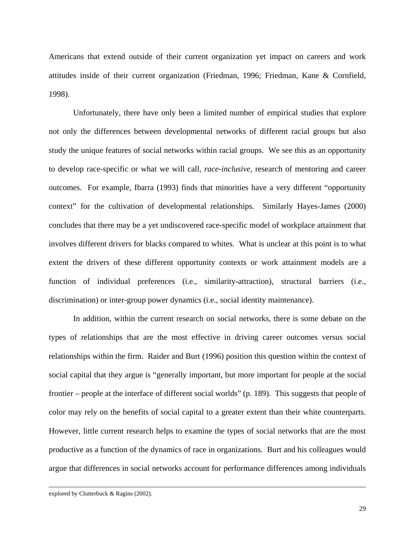Americans that extend outside of their current organization yet impact on careers and work attitudes inside of their current organization (Friedman, 1996; Friedman, Kane & Cornfield, 1998).

Unfortunately, there have only been a limited number of empirical studies that explore not only the differences between developmental networks of different racial groups but also study the unique features of social networks within racial groups. We see this as an opportunity to develop race-specific or what we will call, *race-inclusive,* research of mentoring and career outcomes. For example, Ibarra (1993) finds that minorities have a very different "opportunity context" for the cultivation of developmental relationships. Similarly Hayes-James (2000) concludes that there may be a yet undiscovered race-specific model of workplace attainment that involves different drivers for blacks compared to whites. What is unclear at this point is to what extent the drivers of these different opportunity contexts or work attainment models are a function of individual preferences (i.e., similarity-attraction), structural barriers (i.e., discrimination) or inter-group power dynamics (i.e., social identity maintenance).

In addition, within the current research on social networks, there is some debate on the types of relationships that are the most effective in driving career outcomes versus social relationships within the firm. Raider and Burt (1996) position this question within the context of social capital that they argue is "generally important, but more important for people at the social frontier – people at the interface of different social worlds" (p. 189). This suggests that people of color may rely on the benefits of social capital to a greater extent than their white counterparts. However, little current research helps to examine the types of social networks that are the most productive as a function of the dynamics of race in organizations. Burt and his colleagues would argue that differences in social networks account for performance differences among individuals

 $\overline{\phantom{a}}$ 

explored by Clutterbuck & Ragins (2002).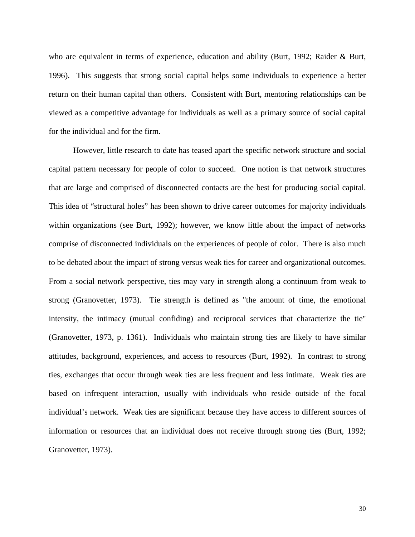who are equivalent in terms of experience, education and ability (Burt, 1992; Raider & Burt, 1996). This suggests that strong social capital helps some individuals to experience a better return on their human capital than others. Consistent with Burt, mentoring relationships can be viewed as a competitive advantage for individuals as well as a primary source of social capital for the individual and for the firm.

However, little research to date has teased apart the specific network structure and social capital pattern necessary for people of color to succeed. One notion is that network structures that are large and comprised of disconnected contacts are the best for producing social capital. This idea of "structural holes" has been shown to drive career outcomes for majority individuals within organizations (see Burt, 1992); however, we know little about the impact of networks comprise of disconnected individuals on the experiences of people of color. There is also much to be debated about the impact of strong versus weak ties for career and organizational outcomes. From a social network perspective, ties may vary in strength along a continuum from weak to strong (Granovetter, 1973). Tie strength is defined as "the amount of time, the emotional intensity, the intimacy (mutual confiding) and reciprocal services that characterize the tie" (Granovetter, 1973, p. 1361). Individuals who maintain strong ties are likely to have similar attitudes, background, experiences, and access to resources (Burt, 1992). In contrast to strong ties, exchanges that occur through weak ties are less frequent and less intimate. Weak ties are based on infrequent interaction, usually with individuals who reside outside of the focal individual's network. Weak ties are significant because they have access to different sources of information or resources that an individual does not receive through strong ties (Burt, 1992; Granovetter, 1973).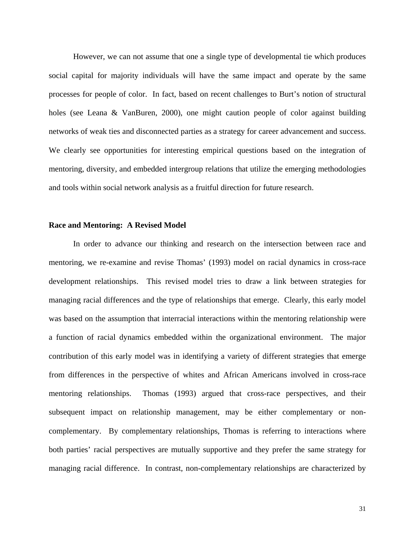However, we can not assume that one a single type of developmental tie which produces social capital for majority individuals will have the same impact and operate by the same processes for people of color. In fact, based on recent challenges to Burt's notion of structural holes (see Leana & VanBuren, 2000), one might caution people of color against building networks of weak ties and disconnected parties as a strategy for career advancement and success. We clearly see opportunities for interesting empirical questions based on the integration of mentoring, diversity, and embedded intergroup relations that utilize the emerging methodologies and tools within social network analysis as a fruitful direction for future research.

#### **Race and Mentoring: A Revised Model**

 In order to advance our thinking and research on the intersection between race and mentoring, we re-examine and revise Thomas' (1993) model on racial dynamics in cross-race development relationships. This revised model tries to draw a link between strategies for managing racial differences and the type of relationships that emerge. Clearly, this early model was based on the assumption that interracial interactions within the mentoring relationship were a function of racial dynamics embedded within the organizational environment. The major contribution of this early model was in identifying a variety of different strategies that emerge from differences in the perspective of whites and African Americans involved in cross-race mentoring relationships. Thomas (1993) argued that cross-race perspectives, and their subsequent impact on relationship management, may be either complementary or noncomplementary. By complementary relationships, Thomas is referring to interactions where both parties' racial perspectives are mutually supportive and they prefer the same strategy for managing racial difference. In contrast, non-complementary relationships are characterized by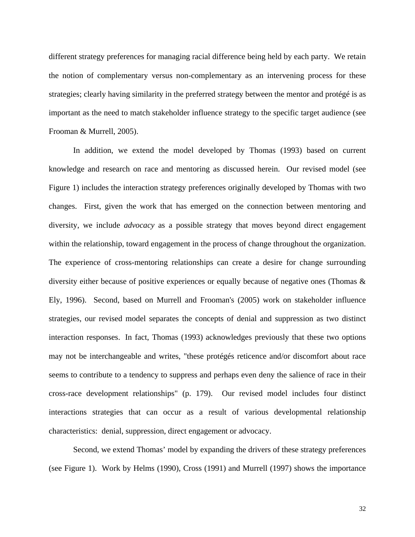different strategy preferences for managing racial difference being held by each party. We retain the notion of complementary versus non-complementary as an intervening process for these strategies; clearly having similarity in the preferred strategy between the mentor and protégé is as important as the need to match stakeholder influence strategy to the specific target audience (see Frooman & Murrell, 2005).

 In addition, we extend the model developed by Thomas (1993) based on current knowledge and research on race and mentoring as discussed herein. Our revised model (see Figure 1) includes the interaction strategy preferences originally developed by Thomas with two changes. First, given the work that has emerged on the connection between mentoring and diversity, we include *advocacy* as a possible strategy that moves beyond direct engagement within the relationship, toward engagement in the process of change throughout the organization. The experience of cross-mentoring relationships can create a desire for change surrounding diversity either because of positive experiences or equally because of negative ones (Thomas & Ely, 1996). Second, based on Murrell and Frooman's (2005) work on stakeholder influence strategies, our revised model separates the concepts of denial and suppression as two distinct interaction responses. In fact, Thomas (1993) acknowledges previously that these two options may not be interchangeable and writes, "these protégés reticence and/or discomfort about race seems to contribute to a tendency to suppress and perhaps even deny the salience of race in their cross-race development relationships" (p. 179). Our revised model includes four distinct interactions strategies that can occur as a result of various developmental relationship characteristics: denial, suppression, direct engagement or advocacy.

 Second, we extend Thomas' model by expanding the drivers of these strategy preferences (see Figure 1). Work by Helms (1990), Cross (1991) and Murrell (1997) shows the importance

32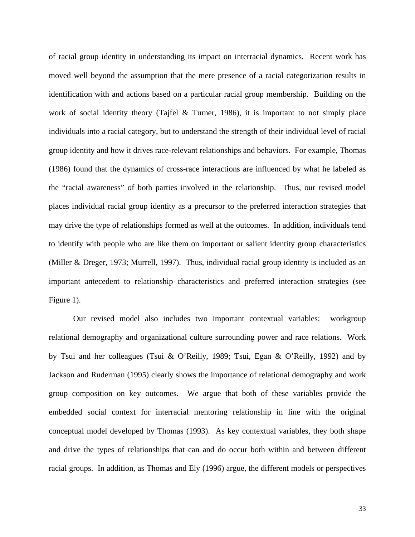of racial group identity in understanding its impact on interracial dynamics. Recent work has moved well beyond the assumption that the mere presence of a racial categorization results in identification with and actions based on a particular racial group membership. Building on the work of social identity theory (Tajfel & Turner, 1986), it is important to not simply place individuals into a racial category, but to understand the strength of their individual level of racial group identity and how it drives race-relevant relationships and behaviors. For example, Thomas (1986) found that the dynamics of cross-race interactions are influenced by what he labeled as the "racial awareness" of both parties involved in the relationship. Thus, our revised model places individual racial group identity as a precursor to the preferred interaction strategies that may drive the type of relationships formed as well at the outcomes. In addition, individuals tend to identify with people who are like them on important or salient identity group characteristics (Miller & Dreger, 1973; Murrell, 1997). Thus, individual racial group identity is included as an important antecedent to relationship characteristics and preferred interaction strategies (see Figure 1).

 Our revised model also includes two important contextual variables: workgroup relational demography and organizational culture surrounding power and race relations. Work by Tsui and her colleagues (Tsui & O'Reilly, 1989; Tsui, Egan & O'Reilly, 1992) and by Jackson and Ruderman (1995) clearly shows the importance of relational demography and work group composition on key outcomes. We argue that both of these variables provide the embedded social context for interracial mentoring relationship in line with the original conceptual model developed by Thomas (1993). As key contextual variables, they both shape and drive the types of relationships that can and do occur both within and between different racial groups. In addition, as Thomas and Ely (1996) argue, the different models or perspectives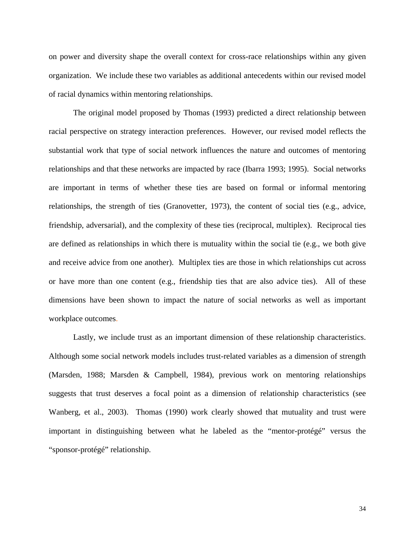on power and diversity shape the overall context for cross-race relationships within any given organization. We include these two variables as additional antecedents within our revised model of racial dynamics within mentoring relationships.

 The original model proposed by Thomas (1993) predicted a direct relationship between racial perspective on strategy interaction preferences. However, our revised model reflects the substantial work that type of social network influences the nature and outcomes of mentoring relationships and that these networks are impacted by race (Ibarra 1993; 1995). Social networks are important in terms of whether these ties are based on formal or informal mentoring relationships, the strength of ties (Granovetter, 1973), the content of social ties (e.g., advice, friendship, adversarial), and the complexity of these ties (reciprocal, multiplex). Reciprocal ties are defined as relationships in which there is mutuality within the social tie (e.g., we both give and receive advice from one another). Multiplex ties are those in which relationships cut across or have more than one content (e.g., friendship ties that are also advice ties). All of these dimensions have been shown to impact the nature of social networks as well as important workplace outcomes.

 Lastly, we include trust as an important dimension of these relationship characteristics. Although some social network models includes trust-related variables as a dimension of strength (Marsden, 1988; Marsden & Campbell, 1984), previous work on mentoring relationships suggests that trust deserves a focal point as a dimension of relationship characteristics (see Wanberg, et al., 2003). Thomas (1990) work clearly showed that mutuality and trust were important in distinguishing between what he labeled as the "mentor-protégé" versus the "sponsor-protégé" relationship.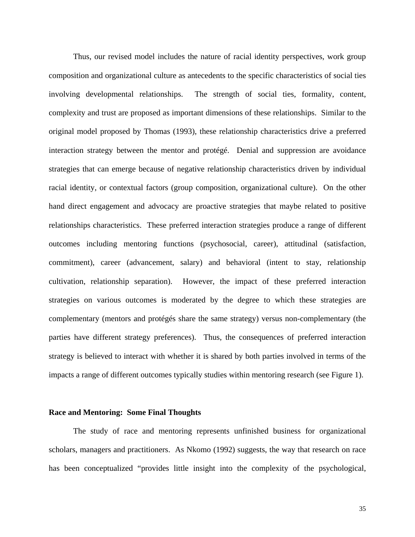Thus, our revised model includes the nature of racial identity perspectives, work group composition and organizational culture as antecedents to the specific characteristics of social ties involving developmental relationships. The strength of social ties, formality, content, complexity and trust are proposed as important dimensions of these relationships. Similar to the original model proposed by Thomas (1993), these relationship characteristics drive a preferred interaction strategy between the mentor and protégé. Denial and suppression are avoidance strategies that can emerge because of negative relationship characteristics driven by individual racial identity, or contextual factors (group composition, organizational culture). On the other hand direct engagement and advocacy are proactive strategies that maybe related to positive relationships characteristics. These preferred interaction strategies produce a range of different outcomes including mentoring functions (psychosocial, career), attitudinal (satisfaction, commitment), career (advancement, salary) and behavioral (intent to stay, relationship cultivation, relationship separation). However, the impact of these preferred interaction strategies on various outcomes is moderated by the degree to which these strategies are complementary (mentors and protégés share the same strategy) versus non-complementary (the parties have different strategy preferences). Thus, the consequences of preferred interaction strategy is believed to interact with whether it is shared by both parties involved in terms of the impacts a range of different outcomes typically studies within mentoring research (see Figure 1).

#### **Race and Mentoring: Some Final Thoughts**

The study of race and mentoring represents unfinished business for organizational scholars, managers and practitioners. As Nkomo (1992) suggests, the way that research on race has been conceptualized "provides little insight into the complexity of the psychological,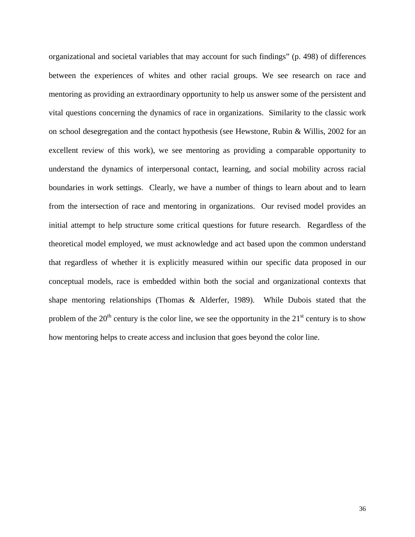organizational and societal variables that may account for such findings" (p. 498) of differences between the experiences of whites and other racial groups. We see research on race and mentoring as providing an extraordinary opportunity to help us answer some of the persistent and vital questions concerning the dynamics of race in organizations. Similarity to the classic work on school desegregation and the contact hypothesis (see Hewstone, Rubin & Willis, 2002 for an excellent review of this work), we see mentoring as providing a comparable opportunity to understand the dynamics of interpersonal contact, learning, and social mobility across racial boundaries in work settings. Clearly, we have a number of things to learn about and to learn from the intersection of race and mentoring in organizations. Our revised model provides an initial attempt to help structure some critical questions for future research. Regardless of the theoretical model employed, we must acknowledge and act based upon the common understand that regardless of whether it is explicitly measured within our specific data proposed in our conceptual models, race is embedded within both the social and organizational contexts that shape mentoring relationships (Thomas & Alderfer, 1989). While Dubois stated that the problem of the  $20<sup>th</sup>$  century is the color line, we see the opportunity in the  $21<sup>st</sup>$  century is to show how mentoring helps to create access and inclusion that goes beyond the color line.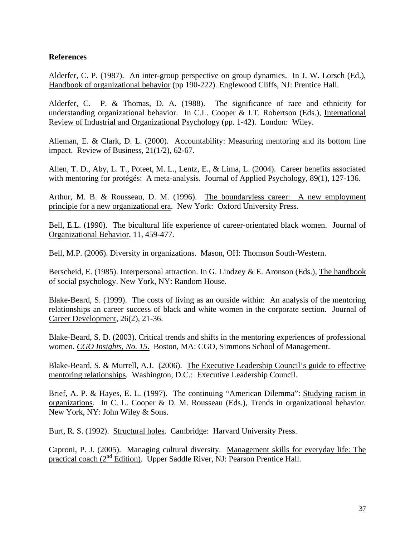### **References**

Alderfer, C. P. (1987). An inter-group perspective on group dynamics. In J. W. Lorsch (Ed.), Handbook of organizational behavior (pp 190-222). Englewood Cliffs, NJ: Prentice Hall.

Alderfer, C. P. & Thomas, D. A. (1988). The significance of race and ethnicity for understanding organizational behavior. In C.L. Cooper & I.T. Robertson (Eds.), International Review of Industrial and Organizational Psychology (pp. 1-42). London: Wiley.

Alleman, E. & Clark, D. L. (2000). Accountability: Measuring mentoring and its bottom line impact. Review of Business, 21(1/2), 62-67.

Allen, T. D., Aby, L. T., Poteet, M. L., Lentz, E., & Lima, L. (2004). Career benefits associated with mentoring for protégés: A meta-analysis. Journal of Applied Psychology, 89(1), 127-136.

Arthur, M. B. & Rousseau, D. M. (1996). The boundaryless career: A new employment principle for a new organizational era. New York: Oxford University Press.

Bell, E.L. (1990). The bicultural life experience of career-orientated black women. Journal of Organizational Behavior, 11, 459-477.

Bell, M.P. (2006). Diversity in organizations. Mason, OH: Thomson South-Western.

Berscheid, E. (1985). Interpersonal attraction. In G. Lindzey & E. Aronson (Eds.), The handbook of social psychology. New York, NY: Random House.

Blake-Beard, S. (1999). The costs of living as an outside within: An analysis of the mentoring relationships an career success of black and white women in the corporate section. Journal of Career Development, 26(2), 21-36.

Blake-Beard, S. D. (2003). Critical trends and shifts in the mentoring experiences of professional women. *CGO Insights, No. 15*. Boston, MA: CGO, Simmons School of Management.

Blake-Beard, S. & Murrell, A.J. (2006). The Executive Leadership Council's guide to effective mentoring relationships. Washington, D.C.: Executive Leadership Council.

Brief, A. P. & Hayes, E. L. (1997). The continuing "American Dilemma": Studying racism in organizations. In C. L. Cooper & D. M. Rousseau (Eds.), Trends in organizational behavior. New York, NY: John Wiley & Sons.

Burt, R. S. (1992). Structural holes. Cambridge: Harvard University Press.

Caproni, P. J. (2005). Managing cultural diversity. Management skills for everyday life: The practical coach (2nd Edition). Upper Saddle River, NJ: Pearson Prentice Hall.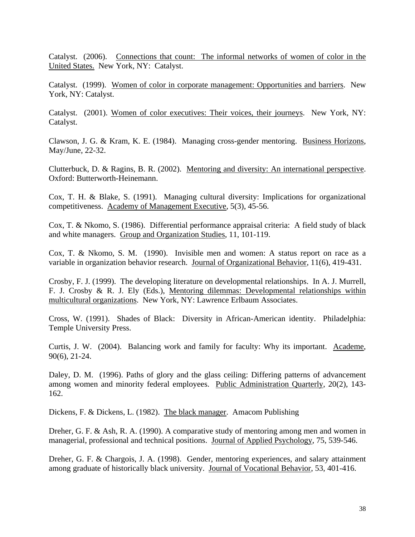Catalyst. (2006). Connections that count: The informal networks of women of color in the United States. New York, NY: Catalyst.

Catalyst. (1999). Women of color in corporate management: Opportunities and barriers. New York, NY: Catalyst.

Catalyst. (2001). Women of color executives: Their voices, their journeys. New York, NY: Catalyst.

Clawson, J. G. & Kram, K. E. (1984). Managing cross-gender mentoring. Business Horizons, May/June, 22-32.

Clutterbuck, D. & Ragins, B. R. (2002). Mentoring and diversity: An international perspective. Oxford: Butterworth-Heinemann.

Cox, T. H. & Blake, S. (1991). Managing cultural diversity: Implications for organizational competitiveness. Academy of Management Executive, 5(3), 45-56.

Cox, T. & Nkomo, S. (1986). Differential performance appraisal criteria: A field study of black and white managers. Group and Organization Studies, 11, 101-119.

Cox, T. & Nkomo, S. M. (1990). Invisible men and women: A status report on race as a variable in organization behavior research. Journal of Organizational Behavior, 11(6), 419-431.

Crosby, F. J. (1999). The developing literature on developmental relationships. In A. J. Murrell, F. J. Crosby & R. J. Ely (Eds.), Mentoring dilemmas: Developmental relationships within multicultural organizations. New York, NY: Lawrence Erlbaum Associates.

Cross, W. (1991). Shades of Black: Diversity in African-American identity. Philadelphia: Temple University Press.

Curtis, J. W. (2004). Balancing work and family for faculty: Why its important. Academe, 90(6), 21-24.

Daley, D. M. (1996). Paths of glory and the glass ceiling: Differing patterns of advancement among women and minority federal employees. Public Administration Quarterly, 20(2), 143- 162.

Dickens, F. & Dickens, L. (1982). The black manager. Amacom Publishing

Dreher, G. F. & Ash, R. A. (1990). A comparative study of mentoring among men and women in managerial, professional and technical positions. Journal of Applied Psychology, 75, 539-546.

Dreher, G. F. & Chargois, J. A. (1998). Gender, mentoring experiences, and salary attainment among graduate of historically black university. Journal of Vocational Behavior, 53, 401-416.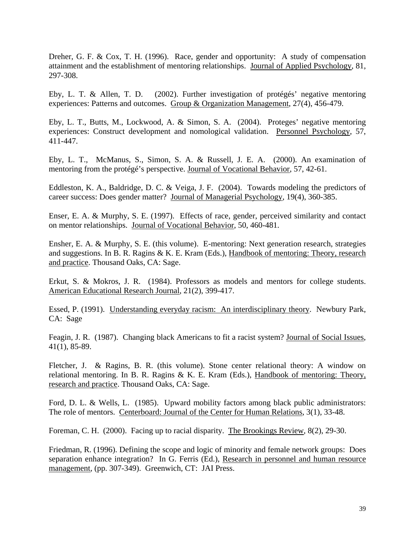Dreher, G. F. & Cox, T. H. (1996). Race, gender and opportunity: A study of compensation attainment and the establishment of mentoring relationships. Journal of Applied Psychology, 81, 297-308.

Eby, L. T. & Allen, T. D. (2002). Further investigation of protégés' negative mentoring experiences: Patterns and outcomes. Group & Organization Management, 27(4), 456-479.

Eby, L. T., Butts, M., Lockwood, A. & Simon, S. A. (2004). Proteges' negative mentoring experiences: Construct development and nomological validation. Personnel Psychology, 57, 411-447.

Eby, L. T., McManus, S., Simon, S. A. & Russell, J. E. A. (2000). An examination of mentoring from the protégé's perspective. Journal of Vocational Behavior, 57, 42-61.

Eddleston, K. A., Baldridge, D. C. & Veiga, J. F. (2004). Towards modeling the predictors of career success: Does gender matter? Journal of Managerial Psychology, 19(4), 360-385.

Enser, E. A. & Murphy, S. E. (1997). Effects of race, gender, perceived similarity and contact on mentor relationships. Journal of Vocational Behavior, 50, 460-481.

Ensher, E. A. & Murphy, S. E. (this volume). E-mentoring: Next generation research, strategies and suggestions. In B. R. Ragins & K. E. Kram (Eds.), Handbook of mentoring: Theory, research and practice. Thousand Oaks, CA: Sage.

Erkut, S. & Mokros, J. R. (1984). Professors as models and mentors for college students. American Educational Research Journal, 21(2), 399-417.

Essed, P. (1991). Understanding everyday racism: An interdisciplinary theory. Newbury Park, CA: Sage

Feagin, J. R. (1987). Changing black Americans to fit a racist system? Journal of Social Issues, 41(1), 85-89.

Fletcher, J. & Ragins, B. R. (this volume). Stone center relational theory: A window on relational mentoring. In B. R. Ragins & K. E. Kram (Eds.), Handbook of mentoring: Theory, research and practice. Thousand Oaks, CA: Sage.

Ford, D. L. & Wells, L. (1985). Upward mobility factors among black public administrators: The role of mentors. Centerboard: Journal of the Center for Human Relations, 3(1), 33-48.

Foreman, C. H. (2000). Facing up to racial disparity. The Brookings Review, 8(2), 29-30.

Friedman, R. (1996). Defining the scope and logic of minority and female network groups: Does separation enhance integration? In G. Ferris (Ed.), Research in personnel and human resource management, (pp. 307-349). Greenwich, CT: JAI Press.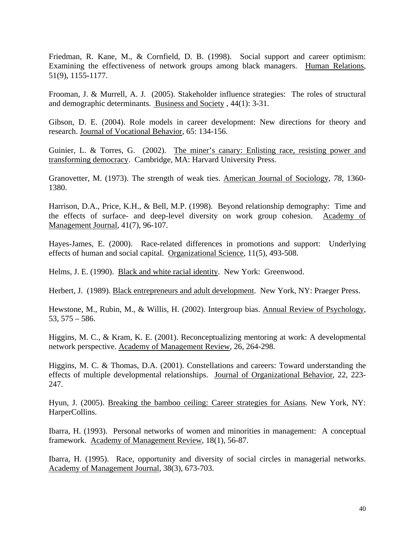Friedman, R. Kane, M., & Cornfield, D. B. (1998). Social support and career optimism: Examining the effectiveness of network groups among black managers. Human Relations, 51(9), 1155-1177.

Frooman, J. & Murrell, A. J. (2005). Stakeholder influence strategies: The roles of structural and demographic determinants. Business and Society , 44(1): 3-31.

Gibson, D. E. (2004). Role models in career development: New directions for theory and research. Journal of Vocational Behavior, 65: 134-156.

Guinier, L. & Torres, G. (2002). The miner's canary: Enlisting race, resisting power and transforming democracy. Cambridge, MA: Harvard University Press.

Granovetter, M. (1973). The strength of weak ties. American Journal of Sociology, *78*, 1360- 1380.

Harrison, D.A., Price, K.H., & Bell, M.P. (1998). Beyond relationship demography: Time and the effects of surface- and deep-level diversity on work group cohesion. Academy of Management Journal, 41(7), 96-107.

Hayes-James, E. (2000). Race-related differences in promotions and support: Underlying effects of human and social capital. Organizational Science, 11(5), 493-508.

Helms, J. E. (1990). Black and white racial identity. New York: Greenwood.

Herbert, J. (1989). Black entrepreneurs and adult development. New York, NY: Praeger Press.

Hewstone, M., Rubin, M., & Willis, H. (2002). Intergroup bias. Annual Review of Psychology, 53, 575 – 586.

Higgins, M. C., & Kram, K. E. (2001). Reconceptualizing mentoring at work: A developmental network perspective. Academy of Management Review, 26*,* 264-298.

Higgins, M. C. & Thomas, D.A. (2001). Constellations and careers: Toward understanding the effects of multiple developmental relationships. Journal of Organizational Behavior, 22, 223- 247.

Hyun, J. (2005). Breaking the bamboo ceiling: Career strategies for Asians. New York, NY: HarperCollins.

Ibarra, H. (1993). Personal networks of women and minorities in management: A conceptual framework. Academy of Management Review, 18(1), 56-87.

Ibarra, H. (1995). Race, opportunity and diversity of social circles in managerial networks. Academy of Management Journal, 38(3), 673-703.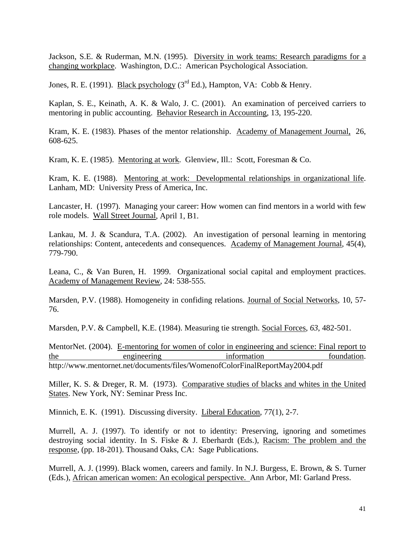Jackson, S.E. & Ruderman, M.N. (1995). Diversity in work teams: Research paradigms for a changing workplace. Washington, D.C.: American Psychological Association.

Jones, R. E. (1991). Black psychology ( $3<sup>rd</sup>$  Ed.), Hampton, VA: Cobb & Henry.

Kaplan, S. E., Keinath, A. K. & Walo, J. C. (2001). An examination of perceived carriers to mentoring in public accounting. Behavior Research in Accounting, 13, 195-220.

Kram, K. E. (1983). Phases of the mentor relationship. Academy of Management Journal, 26, 608-625.

Kram, K. E. (1985). Mentoring at work. Glenview, Ill.: Scott, Foresman & Co.

Kram, K. E. (1988). Mentoring at work: Developmental relationships in organizational life. Lanham, MD: University Press of America, Inc.

Lancaster, H. (1997). Managing your career: How women can find mentors in a world with few role models. Wall Street Journal, April 1, B1.

Lankau, M. J. & Scandura, T.A. (2002). An investigation of personal learning in mentoring relationships: Content, antecedents and consequences. Academy of Management Journal, 45(4), 779-790.

Leana, C., & Van Buren, H. 1999. Organizational social capital and employment practices. Academy of Management Review, 24: 538-555.

Marsden, P.V. (1988). Homogeneity in confiding relations. Journal of Social Networks, 10, 57- 76.

Marsden, P.V. & Campbell, K.E. (1984). Measuring tie strength. Social Forces, *63*, 482-501.

MentorNet. (2004). E-mentoring for women of color in engineering and science: Final report to the engineering information toundation. http://www.mentornet.net/documents/files/WomenofColorFinalReportMay2004.pdf

Miller, K. S. & Dreger, R. M. (1973). Comparative studies of blacks and whites in the United States. New York, NY: Seminar Press Inc.

Minnich, E. K. (1991). Discussing diversity. Liberal Education, 77(1), 2-7.

Murrell, A. J. (1997). To identify or not to identity: Preserving, ignoring and sometimes destroying social identity. In S. Fiske & J. Eberhardt (Eds.), Racism: The problem and the response, (pp. 18-201). Thousand Oaks, CA: Sage Publications.

Murrell, A. J. (1999). Black women, careers and family. In N.J. Burgess, E. Brown, & S. Turner (Eds.), African american women: An ecological perspective. Ann Arbor, MI: Garland Press.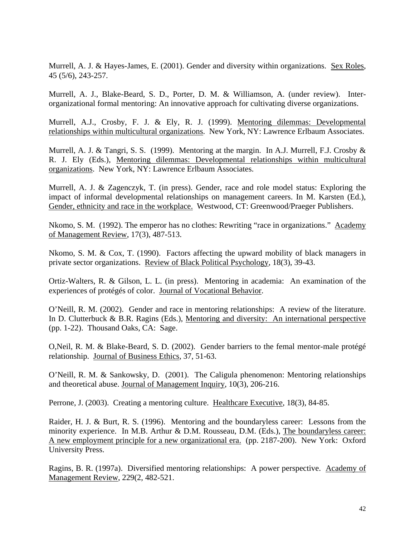Murrell, A. J. & Hayes-James, E. (2001). Gender and diversity within organizations. Sex Roles, 45 (5/6), 243-257.

Murrell, A. J., Blake-Beard, S. D., Porter, D. M. & Williamson, A. (under review). Interorganizational formal mentoring: An innovative approach for cultivating diverse organizations.

Murrell, A.J., Crosby, F. J. & Ely, R. J. (1999). Mentoring dilemmas: Developmental relationships within multicultural organizations. New York, NY: Lawrence Erlbaum Associates.

Murrell, A. J. & Tangri, S. S. (1999). Mentoring at the margin. In A.J. Murrell, F.J. Crosby  $\&$ R. J. Ely (Eds.), Mentoring dilemmas: Developmental relationships within multicultural organizations. New York, NY: Lawrence Erlbaum Associates.

Murrell, A. J. & Zagenczyk, T. (in press). Gender, race and role model status: Exploring the impact of informal developmental relationships on management careers. In M. Karsten (Ed.), Gender, ethnicity and race in the workplace. Westwood, CT: Greenwood/Praeger Publishers.

Nkomo, S. M. (1992). The emperor has no clothes: Rewriting "race in organizations." Academy of Management Review, 17(3), 487-513.

Nkomo, S. M. & Cox, T. (1990). Factors affecting the upward mobility of black managers in private sector organizations. Review of Black Political Psychology, 18(3), 39-43.

Ortiz-Walters, R. & Gilson, L. L. (in press). Mentoring in academia: An examination of the experiences of protégés of color. Journal of Vocational Behavior.

O'Neill, R. M. (2002). Gender and race in mentoring relationships: A review of the literature. In D. Clutterbuck & B.R. Ragins (Eds.), Mentoring and diversity: An international perspective (pp. 1-22). Thousand Oaks, CA: Sage.

O,Neil, R. M. & Blake-Beard, S. D. (2002). Gender barriers to the femal mentor-male protégé relationship. Journal of Business Ethics, 37, 51-63.

O'Neill, R. M. & Sankowsky, D. (2001). The Caligula phenomenon: Mentoring relationships and theoretical abuse. Journal of Management Inquiry, 10(3), 206-216.

Perrone, J. (2003). Creating a mentoring culture. Healthcare Executive, 18(3), 84-85.

Raider, H. J. & Burt, R. S. (1996). Mentoring and the boundaryless career: Lessons from the minority experience. In M.B. Arthur & D.M. Rousseau, D.M. (Eds.), The boundaryless career: A new employment principle for a new organizational era. (pp. 2187-200). New York: Oxford University Press.

Ragins, B. R. (1997a). Diversified mentoring relationships: A power perspective. Academy of Management Review, 229(2, 482-521.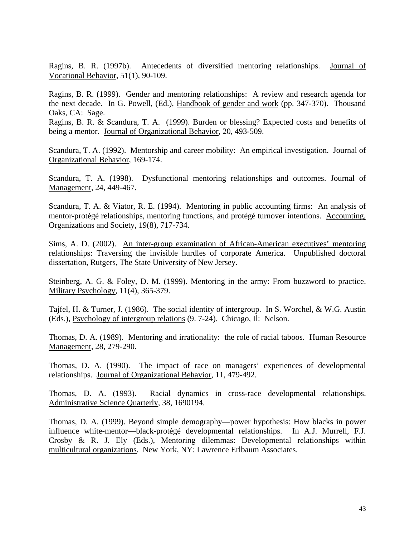Ragins, B. R. (1997b). Antecedents of diversified mentoring relationships. Journal of Vocational Behavior, 51(1), 90-109.

Ragins, B. R. (1999). Gender and mentoring relationships: A review and research agenda for the next decade. In G. Powell, (Ed.), Handbook of gender and work (pp. 347-370). Thousand Oaks, CA: Sage.

Ragins, B. R. & Scandura, T. A. (1999). Burden or blessing? Expected costs and benefits of being a mentor. Journal of Organizational Behavior, 20, 493-509.

Scandura, T. A. (1992). Mentorship and career mobility: An empirical investigation. Journal of Organizational Behavior, 169-174.

Scandura, T. A. (1998). Dysfunctional mentoring relationships and outcomes. Journal of Management, 24, 449-467.

Scandura, T. A. & Viator, R. E. (1994). Mentoring in public accounting firms: An analysis of mentor-protégé relationships, mentoring functions, and protégé turnover intentions. Accounting, Organizations and Society, 19(8), 717-734.

Sims, A. D. (2002). An inter-group examination of African-American executives' mentoring relationships: Traversing the invisible hurdles of corporate America. Unpublished doctoral dissertation, Rutgers, The State University of New Jersey.

Steinberg, A. G. & Foley, D. M. (1999). Mentoring in the army: From buzzword to practice. Military Psychology, 11(4), 365-379.

Tajfel, H. & Turner, J. (1986). The social identity of intergroup. In S. Worchel, & W.G. Austin (Eds.), Psychology of intergroup relations (9. 7-24). Chicago, Il: Nelson.

Thomas, D. A. (1989). Mentoring and irrationality: the role of racial taboos. Human Resource Management, 28, 279-290.

Thomas, D. A. (1990). The impact of race on managers' experiences of developmental relationships. Journal of Organizational Behavior, 11, 479-492.

Thomas, D. A. (1993). Racial dynamics in cross-race developmental relationships. Administrative Science Quarterly, 38, 1690194.

Thomas, D. A. (1999). Beyond simple demography—power hypothesis: How blacks in power influence white-mentor—black-protégé developmental relationships. In A.J. Murrell, F.J. Crosby & R. J. Ely (Eds.), Mentoring dilemmas: Developmental relationships within multicultural organizations. New York, NY: Lawrence Erlbaum Associates.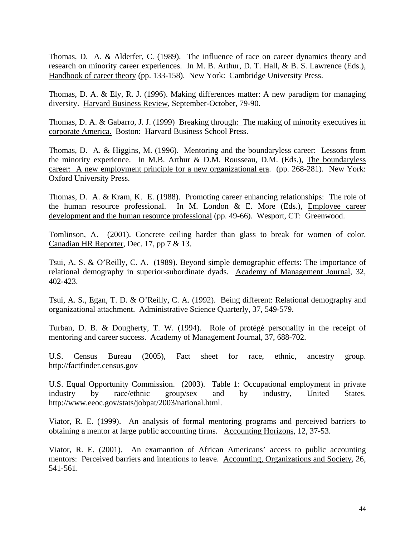Thomas, D. A. & Alderfer, C. (1989). The influence of race on career dynamics theory and research on minority career experiences. In M. B. Arthur, D. T. Hall, & B. S. Lawrence (Eds.), Handbook of career theory (pp. 133-158). New York: Cambridge University Press.

Thomas, D. A. & Ely, R. J. (1996). Making differences matter: A new paradigm for managing diversity. Harvard Business Review, September-October, 79-90.

Thomas, D. A. & Gabarro, J. J. (1999) <u>Breaking through: The making of minority executives in</u> corporate America. Boston: Harvard Business School Press.

Thomas, D. A. & Higgins, M. (1996). Mentoring and the boundaryless career: Lessons from the minority experience. In M.B. Arthur & D.M. Rousseau, D.M. (Eds.), The boundaryless career: A new employment principle for a new organizational era. (pp. 268-281). New York: Oxford University Press.

Thomas, D. A. & Kram, K. E. (1988). Promoting career enhancing relationships: The role of the human resource professional. In M. London & E. More (Eds.), Employee career development and the human resource professional (pp. 49-66). Wesport, CT: Greenwood.

Tomlinson, A. (2001). Concrete ceiling harder than glass to break for women of color. Canadian HR Reporter, Dec. 17, pp 7 & 13.

Tsui, A. S. & O'Reilly, C. A. (1989). Beyond simple demographic effects: The importance of relational demography in superior-subordinate dyads. Academy of Management Journal, 32, 402-423.

Tsui, A. S., Egan, T. D. & O'Reilly, C. A. (1992). Being different: Relational demography and organizational attachment. Administrative Science Quarterly, 37, 549-579.

Turban, D. B. & Dougherty, T. W. (1994). Role of protégé personality in the receipt of mentoring and career success. Academy of Management Journal, 37, 688-702.

U.S. Census Bureau (2005), Fact sheet for race, ethnic, ancestry group. http://factfinder.census.gov

U.S. Equal Opportunity Commission. (2003). Table 1: Occupational employment in private industry by race/ethnic group/sex and by industry, United States. http://www.eeoc.gov/stats/jobpat/2003/national.html.

Viator, R. E. (1999). An analysis of formal mentoring programs and perceived barriers to obtaining a mentor at large public accounting firms. Accounting Horizons, 12, 37-53.

Viator, R. E. (2001). An examantion of African Americans' access to public accounting mentors: Perceived barriers and intentions to leave. Accounting, Organizations and Society, 26, 541-561.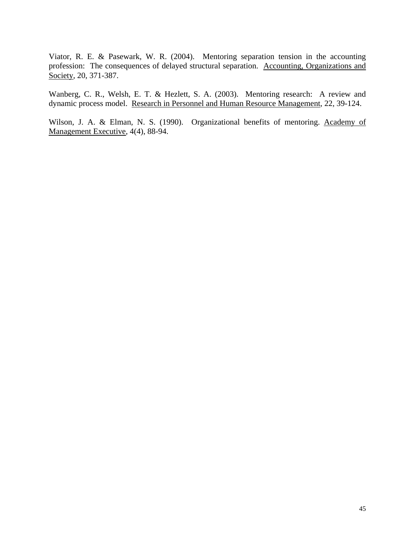Viator, R. E. & Pasewark, W. R. (2004). Mentoring separation tension in the accounting profession: The consequences of delayed structural separation. Accounting, Organizations and Society, 20, 371-387.

Wanberg, C. R., Welsh, E. T. & Hezlett, S. A. (2003). Mentoring research: A review and dynamic process model. Research in Personnel and Human Resource Management, 22, 39-124.

Wilson, J. A. & Elman, N. S. (1990). Organizational benefits of mentoring. Academy of Management Executive, 4(4), 88-94.